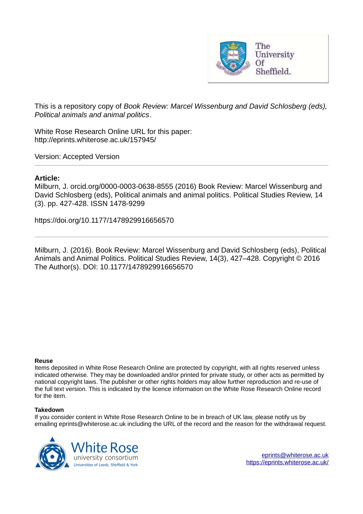

This is a repository copy of *Book Review: Marcel Wissenburg and David Schlosberg (eds), Political animals and animal politics*.

White Rose Research Online URL for this paper: http://eprints.whiterose.ac.uk/157945/

Version: Accepted Version

## **Article:**

Milburn, J. orcid.org/0000-0003-0638-8555 (2016) Book Review: Marcel Wissenburg and David Schlosberg (eds), Political animals and animal politics. Political Studies Review, 14 (3). pp. 427-428. ISSN 1478-9299

https://doi.org/10.1177/1478929916656570

Milburn, J. (2016). Book Review: Marcel Wissenburg and David Schlosberg (eds), Political Animals and Animal Politics. Political Studies Review, 14(3), 427–428. Copyright © 2016 The Author(s). DOI: 10.1177/1478929916656570

## **Reuse**

Items deposited in White Rose Research Online are protected by copyright, with all rights reserved unless indicated otherwise. They may be downloaded and/or printed for private study, or other acts as permitted by national copyright laws. The publisher or other rights holders may allow further reproduction and re-use of the full text version. This is indicated by the licence information on the White Rose Research Online record for the item.

## **Takedown**

If you consider content in White Rose Research Online to be in breach of UK law, please notify us by emailing eprints@whiterose.ac.uk including the URL of the record and the reason for the withdrawal request.



[eprints@whiterose.ac.uk](mailto:eprints@whiterose.ac.uk) <https://eprints.whiterose.ac.uk/>